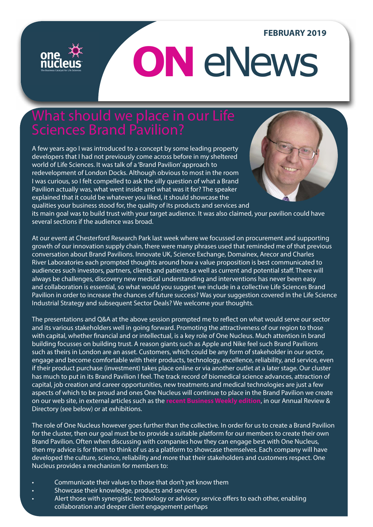## **FEBRUARY 2019**

# **ON** eNews

## What should we place in our Life

A few years ago I was introduced to a concept by some leading property developers that I had not previously come across before in my sheltered world of Life Sciences. It was talk of a 'Brand Pavilion' approach to redevelopment of London Docks. Although obvious to most in the room I was curious, so I felt compelled to ask the silly question of what a Brand Pavilion actually was, what went inside and what was it for? The speaker explained that it could be whatever you liked, it should showcase the qualities your business stood for, the quality of its products and services and



its main goal was to build trust with your target audience. It was also claimed, your pavilion could have several sections if the audience was broad.

At our event at Chesterford Research Park last week where we focussed on procurement and supporting growth of our innovation supply chain, there were many phrases used that reminded me of that previous conversation about Brand Pavilions. Innovate UK, Science Exchange, Domainex, Arecor and Charles River Laboratories each prompted thoughts around how a value proposition is best communicated to audiences such investors, partners, clients and patients as well as current and potential staff. There will always be challenges, discovery new medical understanding and interventions has never been easy and collaboration is essential, so what would you suggest we include in a collective Life Sciences Brand Pavilion in order to increase the chances of future success? Was your suggestion covered in the Life Science Industrial Strategy and subsequent Sector Deals? We welcome your thoughts.

The presentations and Q&A at the above session prompted me to reflect on what would serve our sector and its various stakeholders well in going forward. Promoting the attractiveness of our region to those with capital, whether financial and or intellectual, is a key role of One Nucleus. Much attention in brand building focusses on building trust. A reason giants such as Apple and Nike feel such Brand Pavilions such as theirs in London are an asset. Customers, which could be any form of stakeholder in our sector, engage and become comfortable with their products, technology, excellence, reliability, and service, even if their product purchase (investment) takes place online or via another outlet at a later stage. Our cluster has much to put in its Brand Pavilion I feel. The track record of biomedical science advances, attraction of capital, job creation and career opportunities, new treatments and medical technologies are just a few aspects of which to be proud and ones One Nucleus will continue to place in the Brand Pavilion we create on our web site, in external articles such as the **[recent Business Weekly edition](http://bit.ly/ONBusinessWeekly)**, in our Annual Review & Directory (see below) or at exhibitions.

The role of One Nucleus however goes further than the collective. In order for us to create a Brand Pavilion for the cluster, then our goal must be to provide a suitable platform for our members to create their own Brand Pavilion. Often when discussing with companies how they can engage best with One Nucleus, then my advice is for them to think of us as a platform to showcase themselves. Each company will have developed the culture, science, reliability and more that their stakeholders and customers respect. One Nucleus provides a mechanism for members to:

- Communicate their values to those that don't yet know them
- Showcase their knowledge, products and services
- Alert those with synergistic technology or advisory service offers to each other, enabling collaboration and deeper client engagement perhaps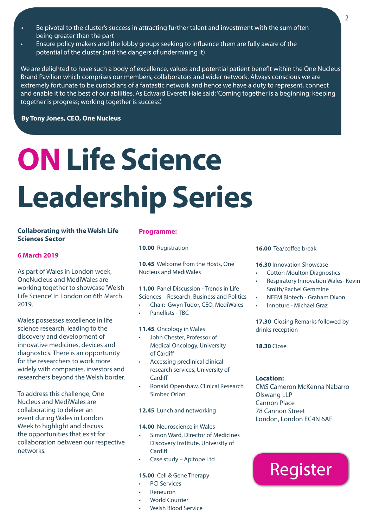- Be pivotal to the cluster's success in attracting further talent and investment with the sum often being greater than the part
- Ensure policy makers and the lobby groups seeking to influence them are fully aware of the potential of the cluster (and the dangers of undermining it)

We are delighted to have such a body of excellence, values and potential patient benefit within the One Nucleus Brand Pavilion which comprises our members, collaborators and wider network. Always conscious we are extremely fortunate to be custodians of a fantastic network and hence we have a duty to represent, connect and enable it to the best of our abilities. As Edward Everett Hale said; 'Coming together is a beginning; keeping together is progress; working together is success'.

**By Tony Jones, CEO, One Nucleus**

# **ON Life Science Leadership Series**

### **Collaborating with the Welsh Life Sciences Sector**

### **6 March 2019**

As part of Wales in London week, OneNucleus and MediWales are working together to showcase 'Welsh Life Science' In London on 6th March 2019.

Wales possesses excellence in life science research, leading to the discovery and development of innovative medicines, devices and diagnostics. There is an opportunity for the researchers to work more widely with companies, investors and researchers beyond the Welsh border.

To address this challenge, One Nucleus and MediWales are collaborating to deliver an event during Wales in London Week to highlight and discuss the opportunities that exist for collaboration between our respective networks.

### **Programme:**

**10.00** Registration

**10.45** Welcome from the Hosts, One Nucleus and MediWales

**11.00** Panel Discussion - Trends in Life Sciences – Research, Business and Politics • Chair: Gwyn Tudor, CEO, MediWales

• Panellists - TBC

**11.45** Oncology in Wales

- John Chester, Professor of Medical Oncology, University of Cardiff
- Accessing preclinical clinical research services, University of **Cardiff**
- Ronald Openshaw, Clinical Research Simbec Orion

**12.45** Lunch and networking

**14.00** Neuroscience in Wales

- Simon Ward, Director of Medicines Discovery Institute, University of **Cardiff**
- Case study Apitope Ltd

#### **15.00** Cell & Gene Therapy

- PCI Services
- Reneuron
- World Courrier
- Welsh Blood Service

### **16.00** Tea/coffee break

**16.30** Innovation Showcase

- Cotton Moulton Diagnostics
- Respiratory Innovation Wales- Kevin Smith/Rachel Gemmine
- NEEM Biotech Graham Dixon
- Innoture Michael Graz

**17.30** Closing Remarks followed by drinks reception

**18.30** Close

### **Location:**

CMS Cameron McKenna Nabarro Olswang LLP Cannon Place 78 Cannon Street London, London EC4N 6AF

## **Register**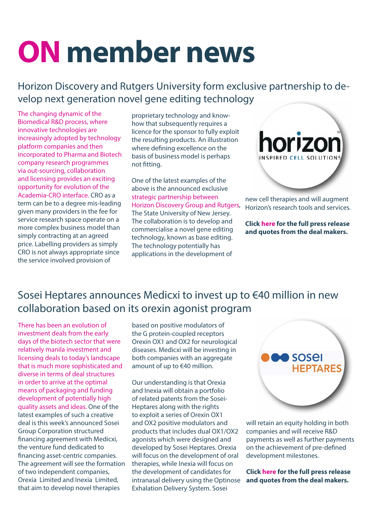# **ON member news**

## Horizon Discovery and Rutgers University form exclusive partnership to develop next generation novel gene editing technology

The changing dynamic of the Biomedical R&D process, where innovative technologies are increasingly adopted by technology platform companies and then incorporated to Pharma and Biotech company research programmes via out-sourcing, collaboration and licensing provides an exciting opportunity for evolution of the Academia-CRO interface. CRO as a term can be to a degree mis-leading given many providers in the fee for service research space operate on a more complex business model than simply contracting at an agreed price. Labelling providers as simply CRO is not always appropriate since the service involved provision of

proprietary technology and knowhow that subsequently requires a licence for the sponsor to fully exploit the resulting products. An illustration where defining excellence on the basis of business model is perhaps not fitting.

One of the latest examples of the above is the announced exclusive strategic partnership between Horizon Discovery Group and Rutgers, The State University of New Jersey. The collaboration is to develop and commercialise a novel gene editing technology, known as base editing. The technology potentially has applications in the development of



new cell therapies and will augment Horizon's research tools and services.

**Click [here](https://onenucleus.com/horizon-discovery-and-rutgers-university-form-exclusive-partnership-develop-next-generation-novel) for the full press release and quotes from the deal makers.**

## Sosei Heptares announces Medicxi to invest up to €40 million in new collaboration based on its orexin agonist program

There has been an evolution of investment deals from the early days of the biotech sector that were relatively manila investment and licensing deals to today's landscape that is much more sophisticated and diverse in terms of deal structures in order to arrive at the optimal means of packaging and funding development of potentially high quality assets and ideas. One of the latest examples of such a creative deal is this week's announced Sosei Group Corporation structured financing agreement with Medicxi, the venture fund dedicated to financing asset-centric companies. The agreement will see the formation of two independent companies, Orexia Limited and Inexia Limited, that aim to develop novel therapies

based on positive modulators of the G protein-coupled receptors Orexin OX1 and OX2 for neurological diseases. Medicxi will be investing in both companies with an aggregate amount of up to €40 million.

Our understanding is that Orexia and Inexia will obtain a portfolio of related patents from the Sosei-Heptares along with the rights to exploit a series of Orexin OX1 and OX2 positive modulators and products that includes dual OX1/OX2 agonists which were designed and developed by Sosei Heptares. Orexia will focus on the development of oral therapies, while Inexia will focus on the development of candidates for intranasal delivery using the Optinose Exhalation Delivery System. Sosei



will retain an equity holding in both companies and will receive R&D payments as well as further payments on the achievement of pre-defined development milestones.

**Click [here](https://onenucleus.com/sosei-heptares-announces-medicxi-invest-%E2%82%AC40-million-new-collaboration-based-its-orexin-agonist) for the full press release and quotes from the deal makers.**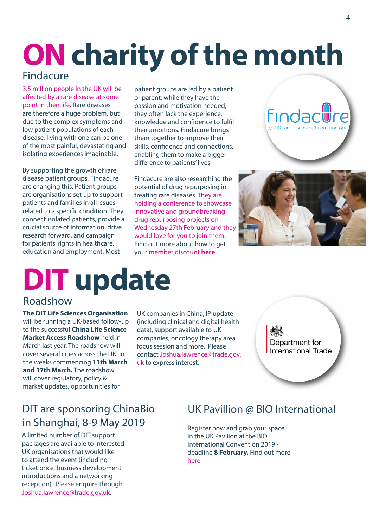# **ON charity of the month**

## [Findacure](https://www.findacure.org.uk/)

3.5 million people in the UK will be affected by a rare disease at some point in their life. Rare diseases are therefore a huge problem, but due to the complex symptoms and low patient populations of each disease, living with one can be one of the most painful, devastating and isolating experiences imaginable.

By supporting the growth of rare disease patient groups, Findacure are changing this. Patient groups are organisations set up to support patients and families in all issues related to a specific condition. They connect isolated patients, provide a crucial source of information, drive research forward, and campaign for patients' rights in healthcare, education and employment. Most

patient groups are led by a patient or parent; while they have the passion and motivation needed, they often lack the experience, knowledge and confidence to fulfil their ambitions. Findacure brings them together to improve their skills, confidence and connections, enabling them to make a bigger difference to patients' lives.

Findacure are also researching the potential of drug repurposing in treating rare diseases. They are holding a conference to showcase innovative and groundbreaking drug repurposing projects on Wednesday 27th February and they would love for you to join them. Find out more about how to get your member discount **[here](http://bit.ly/DrugRepurposingConference)**.





# **DIT update**

## Roadshow

**The DIT Life Sciences Organisation**  will be running a UK-based follow-up to the successful **China Life Science Market Access Roadshow** held in March last year. The roadshow will cover several cities across the UK in the weeks commencing **11th March and 17th March.** The roadshow will cover regulatory, policy & market updates, opportunities for

UK companies in China, IP update (including clinical and digital health data), support available to UK companies, oncology therapy area focus session and more. Please contact [Joshua.lawrence@trade.gov.](mailto:Joshua.lawrence%40trade.gov.uk?subject=) [uk](mailto:Joshua.lawrence%40trade.gov.uk?subject=) to express interest.

Department for **International Trade** 

## DIT are sponsoring ChinaBio in Shanghai,  $8-9$  May 2019 Register now and grab your space

A limited number of DIT support packages are available to interested UK organisations that would like to attend the event (including ticket price, business development introductions and a networking reception). Please enquire through [Joshua.lawrence@trade.gov.uk.](mailto:Joshua.lawrence%40trade.gov.uk?subject=)

## UK Pavillion @ BIO International

in the UK Pavilion at the BIO International Convention 2019 deadline **8 February.** Find out more [here.](http://bit.ly/Bio19UKPavilion)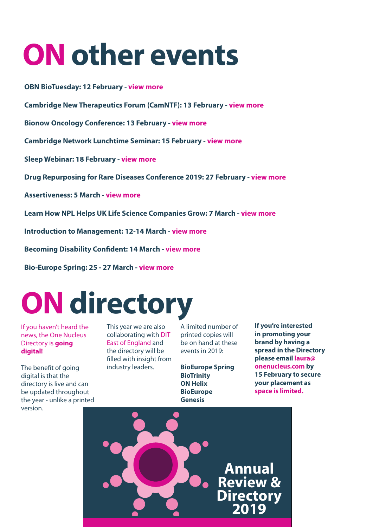# **ON other events**

**OBN BioTuesday: 12 February - [view more](https://onenucleus.com/obn-biotuesday-whats-new-microbiome-research)**

**Cambridge New Therapeutics Forum (CamNTF): 13 February - [view more](https://onenucleus.com/cambridge-new-therapeutics-forum-camntf)**

**Bionow Oncology Conference: 13 February - [view more](https://bionow.co.uk/event/BIONOW010/bionow-oncology-conference)**

**Cambridge Network Lunchtime Seminar: 15 February - [view more](https://onenucleus.com/making-most-cambridge-network-membership-lunchtime-seminar)**

**Sleep Webinar: 18 February - [view more](https://onenucleus.com/free-sleep-webinar-cambridge-based-nhs-patients)**

**Drug Repurposing for Rare Diseases Conference 2019: 27 February - [view more](http://bit.ly/DrugRepurposingConference)**

**Assertiveness: 5 March - [view more](https://onenucleus.com/assertiveness)**

**Learn How NPL Helps UK Life Science Companies Grow: 7 March - [view more](https://onenucleus.com/learn-how-npl-helps-uk-life-science-companies-grow)**

**Introduction to Management: 12-14 March - [view more](https://onenucleus.com/introduction-management)**

**Becoming Disability Confident: 14 March - [view more](https://onenucleus.com/becoming-disability-confident)**

**Bio-Europe Spring: 25 - 27 March - [view more](https://onenucleus.com/bio-europe-spring)**

## **ON directory**

If you haven't heard the news, the One Nucleus Directory is **going digital!**

The benefit of going digital is that the directory is live and can be updated throughout the year - unlike a printed version.

This year we are also collaborating with DIT East of England and the directory will be filled with insight from industry leaders.

A limited number of printed copies will be on hand at these events in 2019:

**BioEurope Spring BioTrinity ON Helix BioEurope Genesis** 

**If you're interested in promoting your brand by having a spread in the Directory please email [laura@](mailto:laura%40onenucleus.com?subject=) [onenucleus.com by](mailto:laura%40onenucleus.com?subject=)  [15 February to secure](mailto:laura%40onenucleus.com?subject=)  [your placement as](mailto:laura%40onenucleus.com?subject=)  [space is limited.](mailto:laura%40onenucleus.com?subject=)**